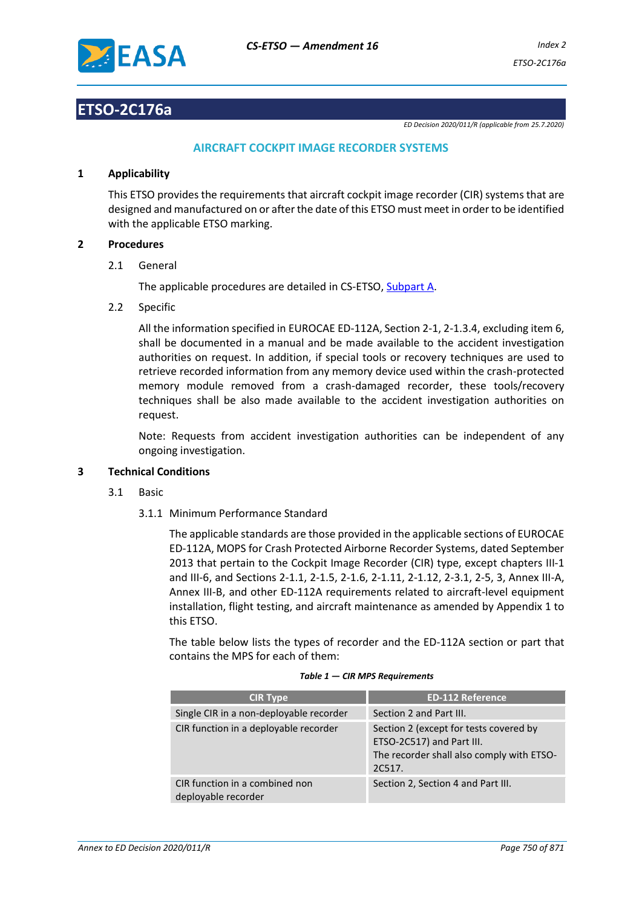

## **ETSO-2C176a**

*ED Decision 2020/011/R (applicable from 25.7.2020)*

## **AIRCRAFT COCKPIT IMAGE RECORDER SYSTEMS**

## **1 Applicability**

This ETSO provides the requirements that aircraft cockpit image recorder (CIR) systems that are designed and manufactured on or after the date of this ETSO must meet in order to be identified with the applicable ETSO marking.

## **2 Procedures**

2.1 General

The applicable procedures are detailed in CS-ETSO, Subpart A.

2.2 Specific

All the information specified in EUROCAE ED-112A, Section 2-1, 2-1.3.4, excluding item 6, shall be documented in a manual and be made available to the accident investigation authorities on request. In addition, if special tools or recovery techniques are used to retrieve recorded information from any memory device used within the crash-protected memory module removed from a crash-damaged recorder, these tools/recovery techniques shall be also made available to the accident investigation authorities on request.

Note: Requests from accident investigation authorities can be independent of any ongoing investigation.

## **3 Technical Conditions**

- 3.1 Basic
	- 3.1.1 Minimum Performance Standard

The applicable standards are those provided in the applicable sections of EUROCAE ED-112A, MOPS for Crash Protected Airborne Recorder Systems, dated September 2013 that pertain to the Cockpit Image Recorder (CIR) type, except chapters III-1 and III-6, and Sections 2-1.1, 2-1.5, 2-1.6, 2-1.11, 2-1.12, 2-3.1, 2-5, 3, Annex III-A, Annex III-B, and other ED-112A requirements related to aircraft-level equipment installation, flight testing, and aircraft maintenance as amended by Appendix 1 to this ETSO.

The table below lists the types of recorder and the ED-112A section or part that contains the MPS for each of them:

| <b>CIR Type</b>                                       | <b>ED-112 Reference</b>                                                                                                    |
|-------------------------------------------------------|----------------------------------------------------------------------------------------------------------------------------|
| Single CIR in a non-deployable recorder               | Section 2 and Part III.                                                                                                    |
| CIR function in a deployable recorder                 | Section 2 (except for tests covered by<br>ETSO-2C517) and Part III.<br>The recorder shall also comply with ETSO-<br>2C517. |
| CIR function in a combined non<br>deployable recorder | Section 2, Section 4 and Part III.                                                                                         |

#### *Table 1 — CIR MPS Requirements*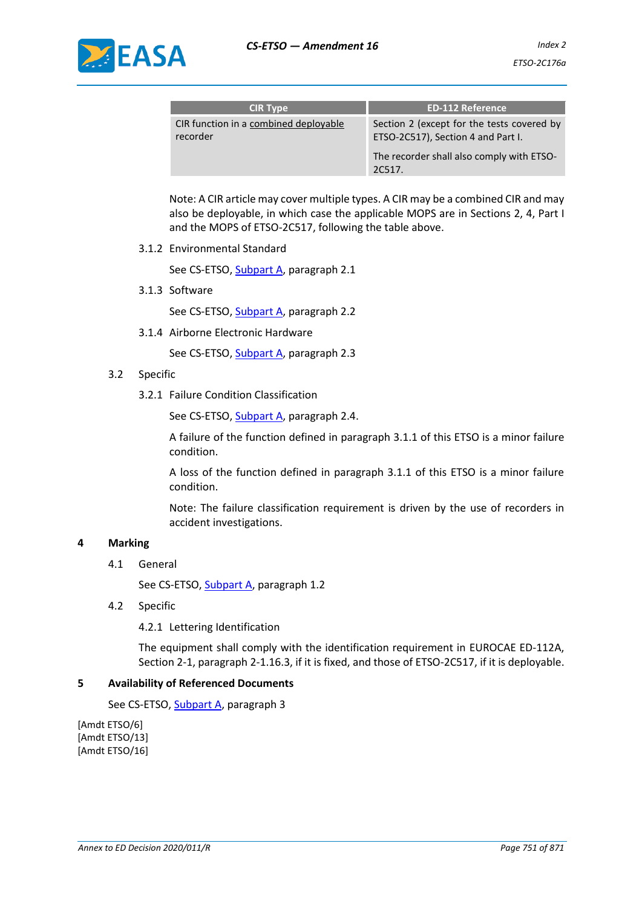

| <b>CIR Type</b>                                   | <b>ED-112 Reference</b>                                                          |
|---------------------------------------------------|----------------------------------------------------------------------------------|
| CIR function in a combined deployable<br>recorder | Section 2 (except for the tests covered by<br>ETSO-2C517), Section 4 and Part I. |
|                                                   | The recorder shall also comply with ETSO-<br>20517.                              |

Note: A CIR article may cover multiple types. A CIR may be a combined CIR and may also be deployable, in which case the applicable MOPS are in Sections 2, 4, Part I and the MOPS of ETSO-2C517, following the table above.

3.1.2 Environmental Standard

See CS-ETSO, Subpart A, paragraph 2.1

3.1.3 Software

See CS-ETSO, Subpart A, paragraph 2.2

3.1.4 Airborne Electronic Hardware

See CS-ETSO, Subpart A, paragraph 2.3

- 3.2 Specific
	- 3.2.1 Failure Condition Classification

See CS-ETSO, Subpart A, paragraph 2.4.

A failure of the function defined in paragraph 3.1.1 of this ETSO is a minor failure condition.

A loss of the function defined in paragraph 3.1.1 of this ETSO is a minor failure condition.

Note: The failure classification requirement is driven by the use of recorders in accident investigations.

## **4 Marking**

4.1 General

See CS-ETSO, Subpart A, paragraph 1.2

4.2 Specific

4.2.1 Lettering Identification

The equipment shall comply with the identification requirement in EUROCAE ED-112A, Section 2-1, paragraph 2-1.16.3, if it is fixed, and those of ETSO-2C517, if it is deployable.

## **5 Availability of Referenced Documents**

See CS-ETSO, Subpart A, paragraph 3

[Amdt ETSO/6] [Amdt ETSO/13] [Amdt ETSO/16]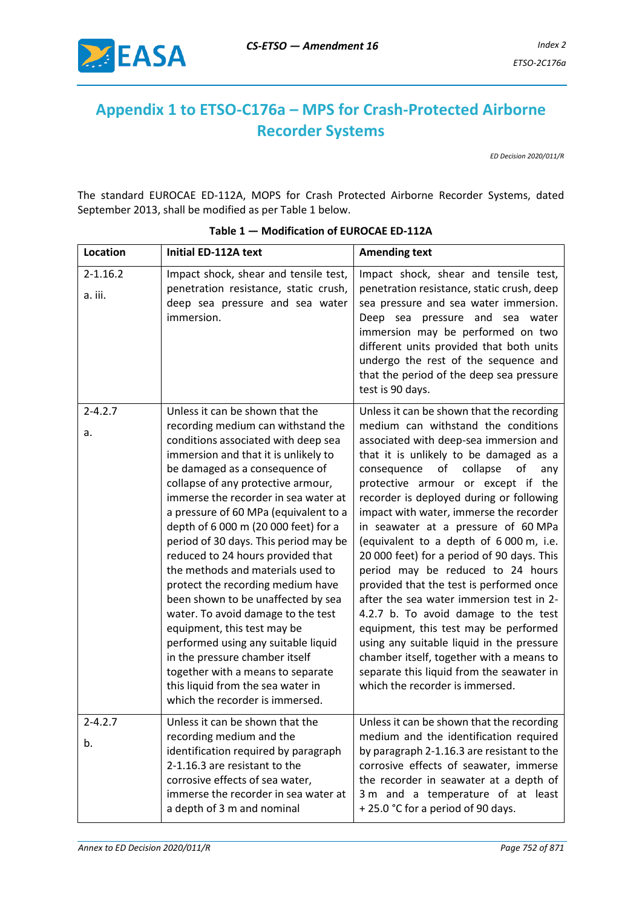

# **Appendix 1 to ETSO-C176a – MPS for Crash-Protected Airborne Recorder Systems**

*ED Decision 2020/011/R*

The standard EUROCAE ED-112A, MOPS for Crash Protected Airborne Recorder Systems, dated September 2013, shall be modified as per Table 1 below.

| Location                | Initial ED-112A text                                                                                                                                                                                                                                                                                                                                                                                                                                                                                                                                                                                                                                                                                                                                                                                           | <b>Amending text</b>                                                                                                                                                                                                                                                                                                                                                                                                                                                                                                                                                                                                                                                                                                                                                                                                                                                |
|-------------------------|----------------------------------------------------------------------------------------------------------------------------------------------------------------------------------------------------------------------------------------------------------------------------------------------------------------------------------------------------------------------------------------------------------------------------------------------------------------------------------------------------------------------------------------------------------------------------------------------------------------------------------------------------------------------------------------------------------------------------------------------------------------------------------------------------------------|---------------------------------------------------------------------------------------------------------------------------------------------------------------------------------------------------------------------------------------------------------------------------------------------------------------------------------------------------------------------------------------------------------------------------------------------------------------------------------------------------------------------------------------------------------------------------------------------------------------------------------------------------------------------------------------------------------------------------------------------------------------------------------------------------------------------------------------------------------------------|
| $2 - 1.16.2$<br>a. iii. | Impact shock, shear and tensile test,<br>penetration resistance, static crush,<br>deep sea pressure and sea water<br>immersion.                                                                                                                                                                                                                                                                                                                                                                                                                                                                                                                                                                                                                                                                                | Impact shock, shear and tensile test,<br>penetration resistance, static crush, deep<br>sea pressure and sea water immersion.<br>Deep sea pressure and sea water<br>immersion may be performed on two<br>different units provided that both units<br>undergo the rest of the sequence and<br>that the period of the deep sea pressure<br>test is 90 days.                                                                                                                                                                                                                                                                                                                                                                                                                                                                                                            |
| $2 - 4.2.7$<br>a.       | Unless it can be shown that the<br>recording medium can withstand the<br>conditions associated with deep sea<br>immersion and that it is unlikely to<br>be damaged as a consequence of<br>collapse of any protective armour,<br>immerse the recorder in sea water at<br>a pressure of 60 MPa (equivalent to a<br>depth of 6 000 m (20 000 feet) for a<br>period of 30 days. This period may be<br>reduced to 24 hours provided that<br>the methods and materials used to<br>protect the recording medium have<br>been shown to be unaffected by sea<br>water. To avoid damage to the test<br>equipment, this test may be<br>performed using any suitable liquid<br>in the pressure chamber itself<br>together with a means to separate<br>this liquid from the sea water in<br>which the recorder is immersed. | Unless it can be shown that the recording<br>medium can withstand the conditions<br>associated with deep-sea immersion and<br>that it is unlikely to be damaged as a<br>of collapse<br>consequence<br>of<br>any<br>protective armour or except if the<br>recorder is deployed during or following<br>impact with water, immerse the recorder<br>in seawater at a pressure of 60 MPa<br>(equivalent to a depth of 6 000 m, i.e.<br>20 000 feet) for a period of 90 days. This<br>period may be reduced to 24 hours<br>provided that the test is performed once<br>after the sea water immersion test in 2-<br>4.2.7 b. To avoid damage to the test<br>equipment, this test may be performed<br>using any suitable liquid in the pressure<br>chamber itself, together with a means to<br>separate this liquid from the seawater in<br>which the recorder is immersed. |
| $2 - 4.2.7$<br>b.       | Unless it can be shown that the<br>recording medium and the<br>identification required by paragraph<br>2-1.16.3 are resistant to the<br>corrosive effects of sea water,<br>immerse the recorder in sea water at<br>a depth of 3 m and nominal                                                                                                                                                                                                                                                                                                                                                                                                                                                                                                                                                                  | Unless it can be shown that the recording<br>medium and the identification required<br>by paragraph 2-1.16.3 are resistant to the<br>corrosive effects of seawater, immerse<br>the recorder in seawater at a depth of<br>3 m and a temperature of at least<br>+25.0 °C for a period of 90 days.                                                                                                                                                                                                                                                                                                                                                                                                                                                                                                                                                                     |

### **Table 1 — Modification of EUROCAE ED-112A**